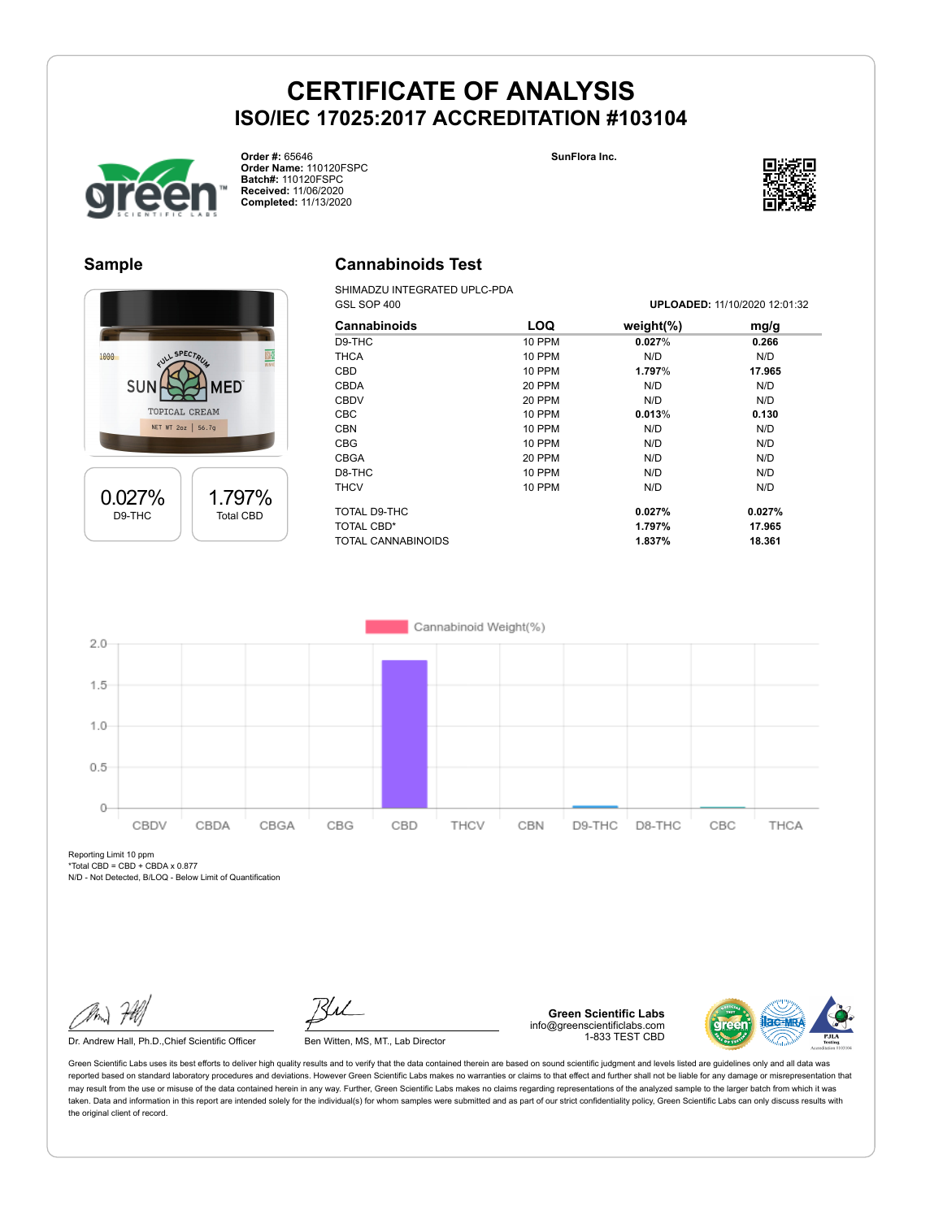**Cannabinoids Test** SHIMADZU INTEGRATED UPLC-PDA





**Order #:** 65646 **Order Name:** 110120FSPC **Batch#:** 110120FSPC **Received:** 11/06/2020 **Completed:** 11/13/2020



#### **Sample**



| GSL SOP 400         |               |               | <b>UPLOADED: 11/10/2020 12:01:32</b> |  |
|---------------------|---------------|---------------|--------------------------------------|--|
| <b>Cannabinoids</b> | <b>LOQ</b>    | weight $(\%)$ | mg/g                                 |  |
| D9-THC              | 10 PPM        | 0.027%        | 0.266                                |  |
| <b>THCA</b>         | 10 PPM        | N/D           | N/D                                  |  |
| CBD                 | <b>10 PPM</b> | 1.797%        | 17.965                               |  |
| <b>CBDA</b>         | 20 PPM        | N/D           | N/D                                  |  |
| <b>CBDV</b>         | 20 PPM        | N/D           | N/D                                  |  |
| <b>CBC</b>          | <b>10 PPM</b> | 0.013%        | 0.130                                |  |
| <b>CBN</b>          | 10 PPM        | N/D           | N/D                                  |  |
| <b>CBG</b>          | <b>10 PPM</b> | N/D           | N/D                                  |  |
| <b>CBGA</b>         | 20 PPM        | N/D           | N/D                                  |  |
| D8-THC              | <b>10 PPM</b> | N/D           | N/D                                  |  |
| <b>THCV</b>         | 10 PPM        | N/D           | N/D                                  |  |
| TOTAL D9-THC        |               | 0.027%        | 0.027%                               |  |
| TOTAL CBD*          |               | 1.797%        | 17.965                               |  |
| TOTAL CANNABINOIDS  |               | 1.837%        | 18.361                               |  |



Reporting Limit 10 ppm  $*Total$  CBD = CBD + CBDA x 0.877

N/D - Not Detected, B/LOQ - Below Limit of Quantification

Dr. Andrew Hall, Ph.D., Chief Scientific Officer Ben Witten, MS, MT., Lab Director

**Green Scientific Labs** info@greenscientificlabs.com 1-833 TEST CBD

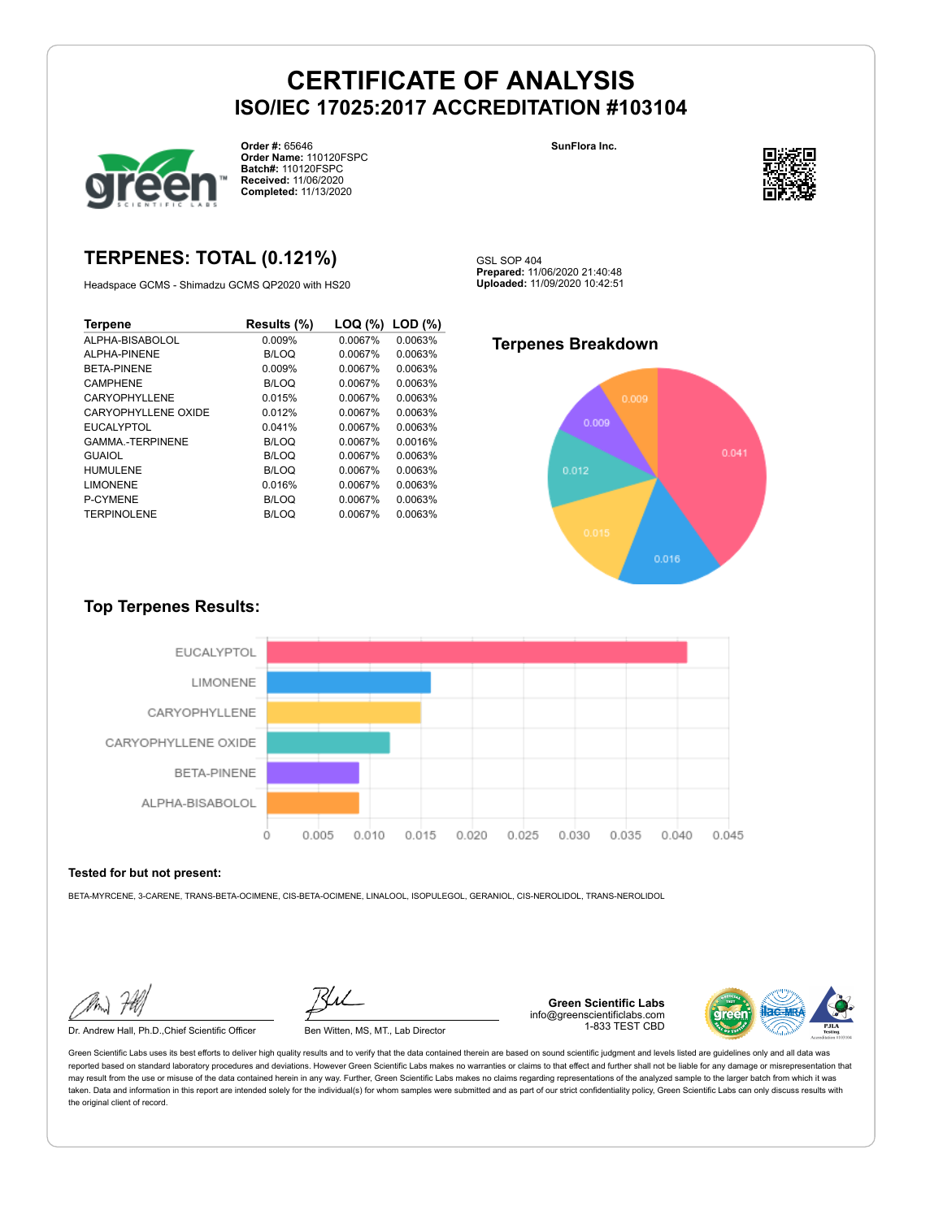GSL SOP 404



**Order #:** 65646 **Order Name:** 110120FSPC **Batch#:** 110120FSPC **Received:** 11/06/2020 **Completed:** 11/13/2020

**SunFlora Inc.**



## **TERPENES: TOTAL (0.121%)**

Headspace GCMS - Shimadzu GCMS QP2020 with HS20

| <b>Terpene</b>         | Results (%)  | LOQ (%) | $LOD$ $(\%)$ |
|------------------------|--------------|---------|--------------|
| ALPHA-BISABOLOL        | 0.009%       | 0.0067% | 0.0063%      |
| ALPHA-PINENE           | B/LOQ        | 0.0067% | 0.0063%      |
| <b>BETA-PINENE</b>     | 0.009%       | 0.0067% | 0.0063%      |
| CAMPHENE               | B/LOQ        | 0.0067% | 0.0063%      |
| <b>CARYOPHYLLENE</b>   | 0.015%       | 0.0067% | 0.0063%      |
| CARYOPHYLLENE OXIDE    | 0.012%       | 0.0067% | 0.0063%      |
| <b>EUCALYPTOL</b>      | 0.041%       | 0.0067% | 0.0063%      |
| <b>GAMMA-TERPINENE</b> | B/LOQ        | 0.0067% | 0.0016%      |
| <b>GUAIOL</b>          | <b>B/LOQ</b> | 0.0067% | 0.0063%      |
| <b>HUMULENE</b>        | <b>B/LOQ</b> | 0.0067% | 0.0063%      |
| <b>LIMONENE</b>        | 0.016%       | 0.0067% | 0.0063%      |
| P-CYMENE               | B/LOQ        | 0.0067% | 0.0063%      |
| <b>TERPINOLENE</b>     | <b>B/LOQ</b> | 0.0067% | 0.0063%      |

## **Terpenes Breakdown**

**Prepared:** 11/06/2020 21:40:48 **Uploaded:** 11/09/2020 10:42:51



### **Top Terpenes Results:**



#### **Tested for but not present:**

BETA-MYRCENE, 3-CARENE, TRANS-BETA-OCIMENE, CIS-BETA-OCIMENE, LINALOOL, ISOPULEGOL, GERANIOL, CIS-NEROLIDOL, TRANS-NEROLIDOL

Dr. Andrew Hall, Ph.D.,Chief Scientific Officer Ben Witten, MS, MT., Lab Director



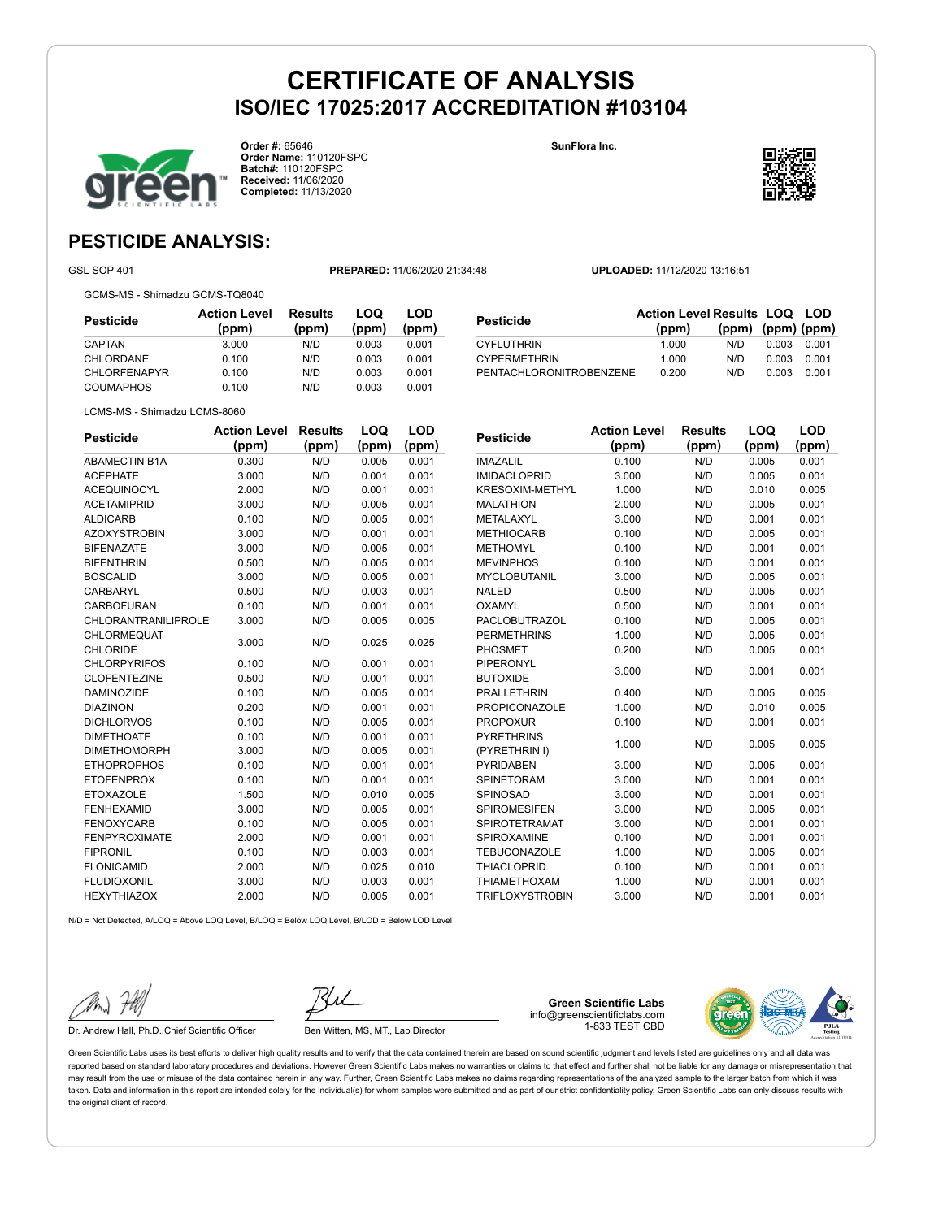

**Order #:** 65646 **Order Name:** 110120FSPC **Batch#:** 110120FSPC **Received:** 11/06/2020 **Completed:** 11/13/2020

**SunFlora Inc.**



## **PESTICIDE ANALYSIS:**

GSL SOP 401 **PREPARED:** 11/06/2020 21:34:48 **UPLOADED:** 11/12/2020 13:16:51

GCMS-MS - Shimadzu GCMS-TQ8040

**Pesticide Action Level (ppm) Results (ppm) LOQ (ppm) LOD (ppm)** CAPTAN 3.000 N/D 0.003 0.001 CHLORDANE 0.100 N/D 0.003 0.001 CHLORFENAPYR 0.100 N/D 0.003 0.001 COUMAPHOS 0.100 N/D 0.003 0.001

| Pesticide               | <b>Action Level Results LOQ LOD</b> |                   |       |       |
|-------------------------|-------------------------------------|-------------------|-------|-------|
|                         | (ppm)                               | (ppm) (ppm) (ppm) |       |       |
| CYFLUTHRIN              | 1.000                               | N/D.              | 0.003 | 0.001 |
| <b>CYPERMETHRIN</b>     | 1.000                               | N/D               | 0.003 | 0.001 |
| PENTACHLORONITROBENZENE | 0.200                               | N/D               | 0.003 | 0.001 |

LCMS-MS - Shimadzu LCMS-8060

| <b>Pesticide</b>     | <b>Action Level</b> | <b>Results</b> | LOQ   | LOD   |
|----------------------|---------------------|----------------|-------|-------|
|                      | (ppm)               | (ppm)          | (ppm) | (ppm) |
| <b>ABAMECTIN B1A</b> | 0.300               | N/D            | 0.005 | 0.001 |
| <b>ACEPHATE</b>      | 3.000               | N/D            | 0.001 | 0.001 |
| <b>ACEQUINOCYL</b>   | 2.000               | N/D            | 0.001 | 0.001 |
| <b>ACETAMIPRID</b>   | 3.000               | N/D            | 0.005 | 0.001 |
| <b>ALDICARB</b>      | 0.100               | N/D            | 0.005 | 0.001 |
| <b>AZOXYSTROBIN</b>  | 3.000               | N/D            | 0.001 | 0.001 |
| <b>BIFENAZATE</b>    | 3.000               | N/D            | 0.005 | 0.001 |
| <b>BIFENTHRIN</b>    | 0.500               | N/D            | 0.005 | 0.001 |
| <b>BOSCALID</b>      | 3.000               | N/D            | 0.005 | 0.001 |
| CARBARYL             | 0.500               | N/D            | 0.003 | 0.001 |
| <b>CARBOFURAN</b>    | 0.100               | N/D            | 0.001 | 0.001 |
| CHLORANTRANILIPROLE  | 3.000               | N/D            | 0.005 | 0.005 |
| <b>CHLORMEQUAT</b>   | 3.000               | N/D            | 0.025 | 0.025 |
| CHLORIDE             |                     |                |       |       |
| <b>CHLORPYRIFOS</b>  | 0.100               | N/D            | 0.001 | 0.001 |
| <b>CLOFENTEZINE</b>  | 0.500               | N/D            | 0.001 | 0.001 |
| <b>DAMINOZIDE</b>    | 0.100               | N/D            | 0.005 | 0.001 |
| <b>DIAZINON</b>      | 0.200               | N/D            | 0.001 | 0.001 |
| <b>DICHLORVOS</b>    | 0.100               | N/D            | 0.005 | 0.001 |
| <b>DIMETHOATE</b>    | 0.100               | N/D            | 0.001 | 0.001 |
| <b>DIMETHOMORPH</b>  | 3.000               | N/D            | 0.005 | 0.001 |
| <b>ETHOPROPHOS</b>   | 0.100               | N/D            | 0.001 | 0.001 |
| <b>ETOFENPROX</b>    | 0.100               | N/D            | 0.001 | 0.001 |
| <b>ETOXAZOLE</b>     | 1.500               | N/D            | 0.010 | 0.005 |
| <b>FENHEXAMID</b>    | 3.000               | N/D            | 0.005 | 0.001 |
| <b>FENOXYCARB</b>    | 0.100               | N/D            | 0.005 | 0.001 |
| <b>FENPYROXIMATE</b> | 2.000               | N/D            | 0.001 | 0.001 |
| <b>FIPRONIL</b>      | 0.100               | N/D            | 0.003 | 0.001 |
| <b>FLONICAMID</b>    | 2.000               | N/D            | 0.025 | 0.010 |
| <b>FLUDIOXONIL</b>   | 3.000               | N/D            | 0.003 | 0.001 |
| <b>HEXYTHIAZOX</b>   | 2.000               | N/D            | 0.005 | 0.001 |

| <b>Pesticide</b>       | <b>Action Level</b> | <b>Results</b> | LOQ   | LOD   |
|------------------------|---------------------|----------------|-------|-------|
|                        | (ppm)               | (ppm)          | (ppm) | (ppm) |
| <b>IMAZALIL</b>        | 0.100               | N/D            | 0.005 | 0.001 |
| <b>IMIDACLOPRID</b>    | 3.000               | N/D            | 0.005 | 0.001 |
| <b>KRESOXIM-METHYL</b> | 1.000               | N/D            | 0.010 | 0.005 |
| <b>MALATHION</b>       | 2.000               | N/D            | 0.005 | 0.001 |
| METALAXYL              | 3.000               | N/D            | 0.001 | 0.001 |
| <b>METHIOCARB</b>      | 0.100               | N/D            | 0.005 | 0.001 |
| <b>METHOMYL</b>        | 0.100               | N/D            | 0.001 | 0.001 |
| <b>MEVINPHOS</b>       | 0.100               | N/D            | 0.001 | 0.001 |
| <b>MYCLOBUTANIL</b>    | 3.000               | N/D            | 0.005 | 0.001 |
| <b>NALED</b>           | 0.500               | N/D            | 0.005 | 0.001 |
| OXAMYL                 | 0.500               | N/D            | 0.001 | 0.001 |
| <b>PACLOBUTRAZOL</b>   | 0.100               | N/D            | 0.005 | 0.001 |
| <b>PERMETHRINS</b>     | 1.000               | N/D            | 0.005 | 0.001 |
| <b>PHOSMET</b>         | 0.200               | N/D            | 0.005 | 0.001 |
| PIPERONYL              | 3.000               | N/D            | 0.001 | 0.001 |
| <b>BUTOXIDE</b>        |                     |                |       |       |
| <b>PRALLETHRIN</b>     | 0.400               | N/D            | 0.005 | 0.005 |
| <b>PROPICONAZOLE</b>   | 1.000               | N/D            | 0.010 | 0.005 |
| <b>PROPOXUR</b>        | 0.100               | N/D            | 0.001 | 0.001 |
| <b>PYRETHRINS</b>      | 1.000               | N/D            | 0.005 | 0.005 |
| (PYRETHRIN I)          |                     |                |       |       |
| <b>PYRIDABEN</b>       | 3.000               | N/D            | 0.005 | 0.001 |
| <b>SPINETORAM</b>      | 3.000               | N/D            | 0.001 | 0.001 |
| SPINOSAD               | 3.000               | N/D            | 0.001 | 0.001 |
| <b>SPIROMESIFEN</b>    | 3.000               | N/D            | 0.005 | 0.001 |
| <b>SPIROTETRAMAT</b>   | 3.000               | N/D            | 0.001 | 0.001 |
| SPIROXAMINE            | 0.100               | N/D            | 0.001 | 0.001 |
| <b>TEBUCONAZOLE</b>    | 1.000               | N/D            | 0.005 | 0.001 |
| <b>THIACLOPRID</b>     | 0.100               | N/D            | 0.001 | 0.001 |

THIAMETHOXAM 1.000 N/D 0.001 0.001 TRIFLOXYSTROBIN 3.000 N/D 0.001 0.001

 $N/D = N$ ot Detected, A/LOQ = Above LOQ Level, B/LOQ = Below LOQ Level, B/LOD = Below LOD Level

Dr. Andrew Hall, Ph.D., Chief Scientific Officer Ben Witten, MS, MT., Lab Director

**Green Scientific Labs** info@greenscientificlabs.com 1-833 TEST CBD

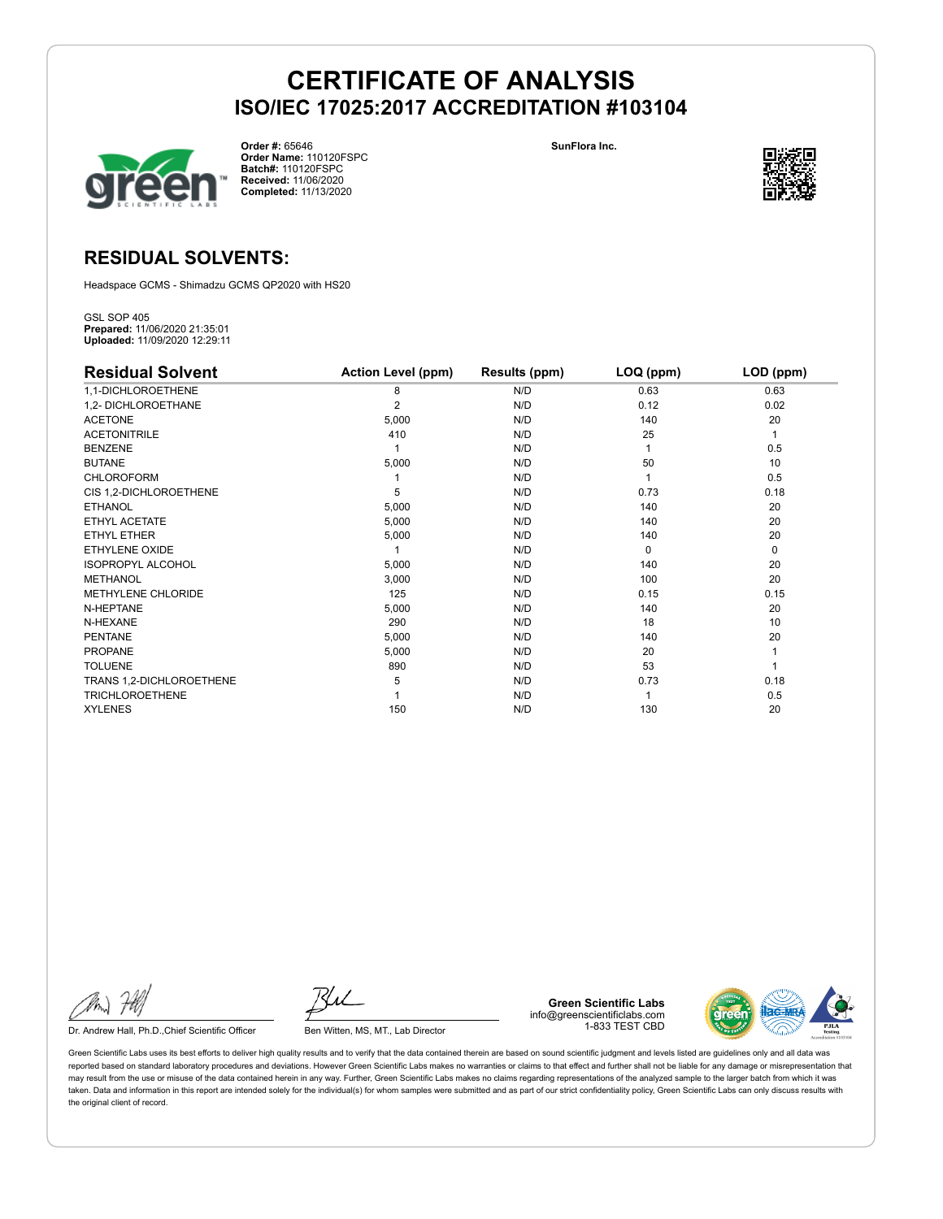

**Order #:** 65646 **Order Name:** 110120FSPC **Batch#:** 110120FSPC **Received:** 11/06/2020 **Completed:** 11/13/2020

**SunFlora Inc.**



### **RESIDUAL SOLVENTS:**

Headspace GCMS - Shimadzu GCMS QP2020 with HS20

GSL SOP 405 **Prepared:** 11/06/2020 21:35:01 **Uploaded:** 11/09/2020 12:29:11

| <b>Residual Solvent</b>  | <b>Action Level (ppm)</b> | Results (ppm) | LOQ (ppm) | LOD (ppm) |
|--------------------------|---------------------------|---------------|-----------|-----------|
| 1,1-DICHLOROETHENE       | 8                         | N/D           | 0.63      | 0.63      |
| 1,2- DICHLOROETHANE      | $\overline{2}$            | N/D           | 0.12      | 0.02      |
| <b>ACETONE</b>           | 5,000                     | N/D           | 140       | 20        |
| <b>ACETONITRILE</b>      | 410                       | N/D           | 25        | 1         |
| <b>BENZENE</b>           |                           | N/D           |           | 0.5       |
| <b>BUTANE</b>            | 5,000                     | N/D           | 50        | 10        |
| <b>CHLOROFORM</b>        |                           | N/D           |           | 0.5       |
| CIS 1,2-DICHLOROETHENE   | 5                         | N/D           | 0.73      | 0.18      |
| <b>ETHANOL</b>           | 5,000                     | N/D           | 140       | 20        |
| ETHYL ACETATE            | 5,000                     | N/D           | 140       | 20        |
| <b>ETHYL ETHER</b>       | 5,000                     | N/D           | 140       | 20        |
| ETHYLENE OXIDE           |                           | N/D           | $\Omega$  | 0         |
| <b>ISOPROPYL ALCOHOL</b> | 5,000                     | N/D           | 140       | 20        |
| <b>METHANOL</b>          | 3,000                     | N/D           | 100       | 20        |
| METHYLENE CHLORIDE       | 125                       | N/D           | 0.15      | 0.15      |
| N-HEPTANE                | 5,000                     | N/D           | 140       | 20        |
| N-HEXANE                 | 290                       | N/D           | 18        | 10        |
| <b>PENTANE</b>           | 5,000                     | N/D           | 140       | 20        |
| <b>PROPANE</b>           | 5,000                     | N/D           | 20        |           |
| <b>TOLUENE</b>           | 890                       | N/D           | 53        |           |
| TRANS 1,2-DICHLOROETHENE | 5                         | N/D           | 0.73      | 0.18      |
| <b>TRICHLOROETHENE</b>   |                           | N/D           |           | 0.5       |
| <b>XYLENES</b>           | 150                       | N/D           | 130       | 20        |

Dr. Andrew Hall, Ph.D., Chief Scientific Officer Ben Witten, MS, MT., Lab Director

**Green Scientific Labs** info@greenscientificlabs.com 1-833 TEST CBD

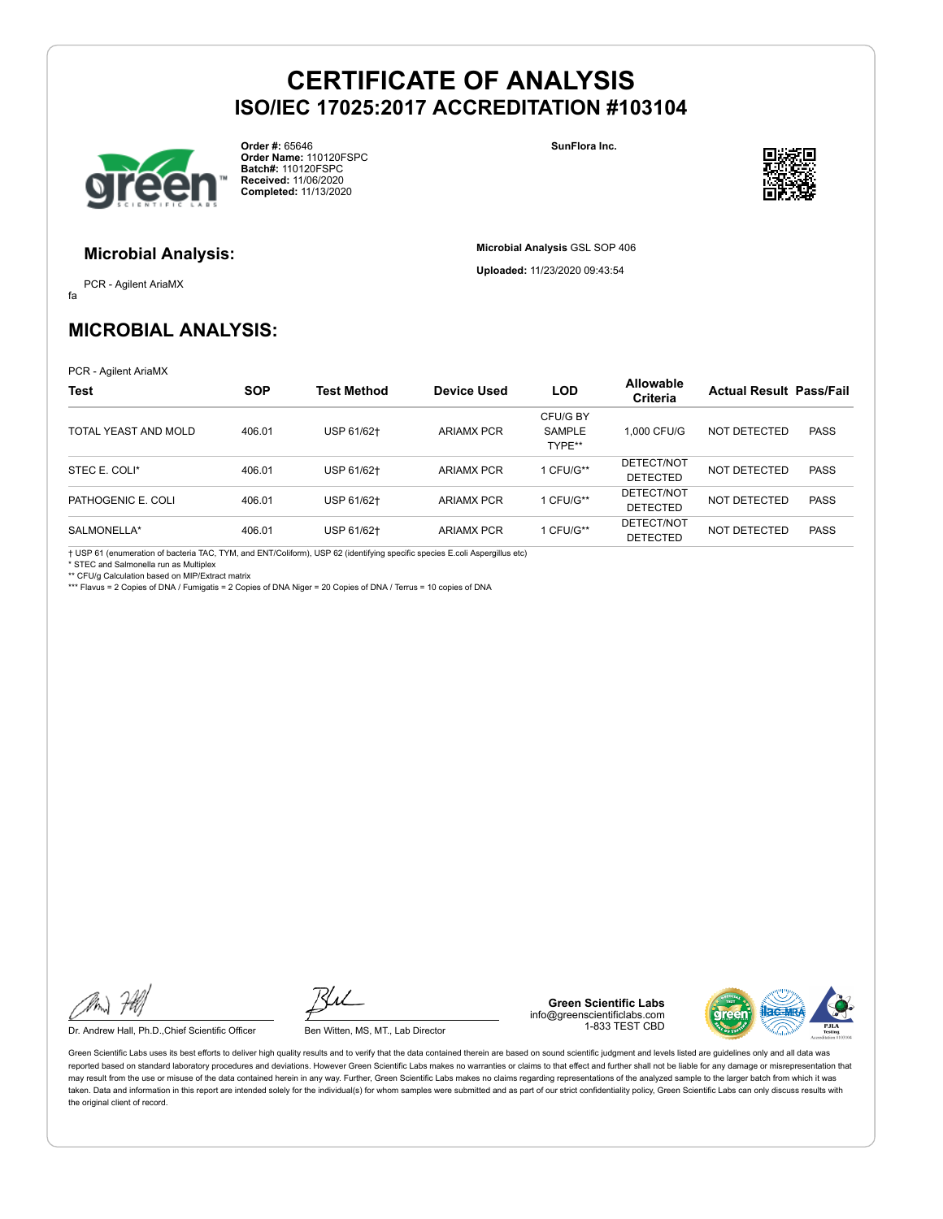

**Order #:** 65646 **Order Name:** 110120FSPC **Batch#:** 110120FSPC **Received:** 11/06/2020 **Completed:** 11/13/2020

**SunFlora Inc.**

**Microbial Analysis** GSL SOP 406 **Uploaded:** 11/23/2020 09:43:54



### **Microbial Analysis:**

fa PCR - Agilent AriaMX

## **MICROBIAL ANALYSIS:**

PCR - Agilent AriaMX

| <b>Test</b>          | <b>SOP</b> | Test Method | <b>Device Used</b> | <b>LOD</b>                          | <b>Allowable</b><br>Criteria  | <b>Actual Result Pass/Fail</b> |             |
|----------------------|------------|-------------|--------------------|-------------------------------------|-------------------------------|--------------------------------|-------------|
| TOTAL YEAST AND MOLD | 406.01     | USP 61/62+  | <b>ARIAMX PCR</b>  | CFU/G BY<br><b>SAMPLE</b><br>TYPE** | 1.000 CFU/G                   | NOT DETECTED                   | <b>PASS</b> |
| STEC E. COLI*        | 406.01     | USP 61/62+  | <b>ARIAMX PCR</b>  | 1 CFU/G**                           | DETECT/NOT<br>DETECTED        | NOT DETECTED                   | <b>PASS</b> |
| PATHOGENIC E. COLI   | 406.01     | USP 61/62+  | <b>ARIAMX PCR</b>  | 1 CFU/G**                           | DETECT/NOT<br><b>DETECTED</b> | NOT DETECTED                   | <b>PASS</b> |
| SALMONELLA*          | 406.01     | USP 61/62+  | <b>ARIAMX PCR</b>  | 1 CFU/G**                           | DETECT/NOT<br><b>DETECTED</b> | NOT DETECTED                   | <b>PASS</b> |

† USP 61 (enumeration of bacteria TAC, TYM, and ENT/Coliform), USP 62 (identifying specific species E.coli Aspergillus etc)

\* STEC and Salmonella run as Multiplex

\*\* CFU/g Calculation based on MIP/Extract matrix \*\*\* Flavus = 2 Copies of DNA / Fumigatis = 2 Copies of DNA Niger = 20 Copies of DNA / Terrus = 10 copies of DNA

Dr. Andrew Hall, Ph.D., Chief Scientific Officer Ben Witten, MS, MT., Lab Director

**Green Scientific Labs** info@greenscientificlabs.com 1-833 TEST CBD